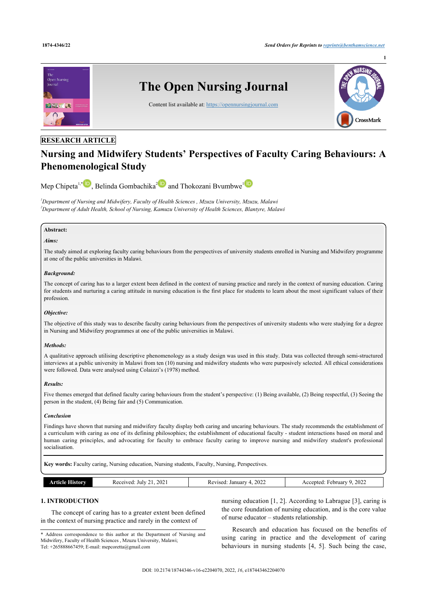

# **RESEARCH ARTICLE**

# **Nursing and Midwifery Students' Perspectives of Faculty Caring Behaviours: A Phenomenological Study**

Mep Chipeta<sup>[1](#page-0-0),[\\*](#page--1-0)</sup>**D**[,](http://orcid.org/0000-0002-3170-3708) Belinda Gombachika<sup>[2](#page-0-1)</sup> and Thokozani Bvumbwe<sup>1</sup>

<span id="page-0-1"></span><span id="page-0-0"></span>*<sup>1</sup>Department of Nursing and Midwifery, Faculty of Health Sciences , Mzuzu University, Mzuzu, Malawi <sup>2</sup>Department of Adult Health, School of Nursing, Kamuzu University of Health Sciences, Blantyre, Malawi*

#### **Abstract:**

#### *Aims:*

The study aimed at exploring faculty caring behaviours from the perspectives of university students enrolled in Nursing and Midwifery programme at one of the public universities in Malawi.

#### *Background:*

The concept of caring has to a larger extent been defined in the context of nursing practice and rarely in the context of nursing education. Caring for students and nurturing a caring attitude in nursing education is the first place for students to learn about the most significant values of their profession.

# *Objective:*

The objective of this study was to describe faculty caring behaviours from the perspectives of university students who were studying for a degree in Nursing and Midwifery programmes at one of the public universities in Malawi.

#### *Methods:*

A qualitative approach utilising descriptive phenomenology as a study design was used in this study. Data was collected through semi-structured interviews at a public university in Malawi from ten (10) nursing and midwifery students who were purposively selected. All ethical considerations were followed. Data were analysed using Colaizzi's (1978) method.

# *Results:*

Five themes emerged that defined faculty caring behaviours from the student's perspective: (1) Being available, (2) Being respectful, (3) Seeing the person in the student, (4) Being fair and (5) Communication.

#### *Conclusion*

Findings have shown that nursing and midwifery faculty display both caring and uncaring behaviours. The study recommends the establishment of a curriculum with caring as one of its defining philosophies; the establishment of educational faculty - student interactions based on moral and human caring principles, and advocating for faculty to embrace faculty caring to improve nursing and midwifery student's professional socialisation.

**Key words:** Faculty caring, Nursing education, Nursing students, Faculty, Nursing, Perspectives.

| $20^{\circ}$<br>July<br>$\mathbf{a}$<br>.எமா<br>$\mathsf{v}_{\mathsf{c}}$<br>$\sim$<br>. | 2022<br>Januar<br>Revised<br>__ | 2022<br>ebruar<br>repted<br>ACC<br>. |
|------------------------------------------------------------------------------------------|---------------------------------|--------------------------------------|
|------------------------------------------------------------------------------------------|---------------------------------|--------------------------------------|

# **1. INTRODUCTION**

The concept of caring has to a greater extent been defined in the context of nursing practice and rarely in the context of

\* Address correspondence to this author at the Department of Nursing and Midwifery, Faculty of Health Sciences , Mzuzu University, Malawi; Tel: +265888667459; E-mail: [mepcoretta@gmail.com](mailto:mepcoretta@gmail.com)

nursing education [[1](#page-7-0), [2\]](#page-7-1). According to Labrague [\[3\]](#page-7-2), caring is the core foundation of nursing education, and is the core value of nurse educator – students relationship.

Research and education has focused on the benefits of using caring in practice and the development of caring behaviours in nursing students[[4](#page-7-3), [5](#page-7-4)]. Such being the case,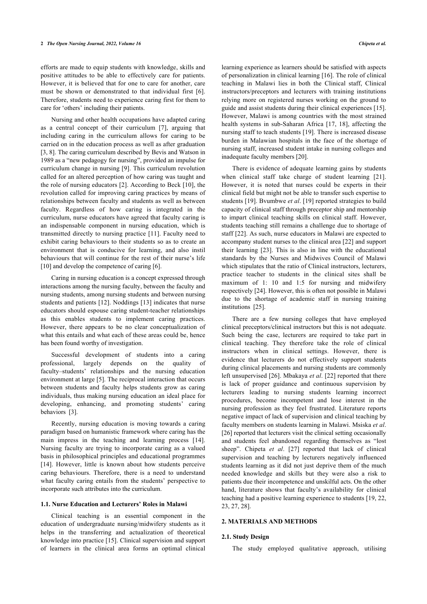#### **2** *The Open Nursing Journal, 2022, Volume 16 Chipeta et al.*

efforts are made to equip students with knowledge, skills and positive attitudes to be able to effectively care for patients. However, it is believed that for one to care for another, care must be shown or demonstrated to that individual first [\[6\]](#page-7-5). Therefore, students need to experience caring first for them to care for 'others' including their patients.

Nursing and other health occupations have adapted caring as a central concept of their curriculum[[7](#page-7-6)], arguing that including caring in the curriculum allows for caring to be carried on in the education process as well as after graduation [[3](#page-7-2), [8](#page-7-7)]. The caring curriculum described by Bevis and Watson in 1989 as a "new pedagogy for nursing", provided an impulse for curriculum change in nursing [[9](#page-7-8)]. This curriculum revolution called for an altered perception of how caring was taught and the role of nursing educators [\[2\]](#page-7-1). According to Beck [[10](#page-7-9)], the revolution called for improving caring practices by means of relationships between faculty and students as well as between faculty. Regardless of how caring is integrated in the curriculum, nurse educators have agreed that faculty caring is an indispensable component in nursing education, which is transmitted directly to nursing practice [[11](#page-7-10)]. Faculty need to exhibit caring behaviours to their students so as to create an environment that is conducive for learning, and also instil behaviours that will continue for the rest of their nurse's life [[10\]](#page-7-9) and develop the competence of caring [[6](#page-7-5)].

Caring in nursing education is a concept expressed through interactions among the nursing faculty, between the faculty and nursing students, among nursing students and between nursing students and patients [\[12](#page-7-11)]. Noddings [\[13](#page-7-12)] indicates that nurse educators should espouse caring student-teacher relationships as this enables students to implement caring practices. However, there appears to be no clear conceptualization of what this entails and what each of these areas could be, hence has been found worthy of investigation.

Successful development of students into a caring professional, largely depends on the quality of faculty–students' relationships and the nursing education environment at large [[5](#page-7-4)]. The reciprocal interaction that occurs between students and faculty helps students grow as caring individuals, thus making nursing education an ideal place for developing, enhancing, and promoting students' caring behaviors[[3](#page-7-2)].

Recently, nursing education is moving towards a caring paradigm based on humanistic framework where caring has the main impress in the teaching and learning process[[14\]](#page-7-13). Nursing faculty are trying to incorporate caring as a valued basis in philosophical principles and educational programmes [[14\]](#page-7-13). However, little is known about how students perceive caring behaviours. Therefore, there is a need to understand what faculty caring entails from the students' perspective to incorporate such attributes into the curriculum.

#### **1.1. Nurse Education and Lecturers' Roles in Malawi**

Clinical teaching is an essential component in the education of undergraduate nursing/midwifery students as it helps in the transferring and actualization of theoretical knowledge into practice [\[15](#page-7-14)]. Clinical supervision and support of learners in the clinical area forms an optimal clinical

learning experience as learners should be satisfied with aspects of personalization in clinical learning [[16\]](#page-7-15). The role of clinical teaching in Malawi lies in both the Clinical staff, Clinical instructors/preceptors and lecturers with training institutions relying more on registered nurses working on the ground to guide and assist students during their clinical experiences [\[15](#page-7-14)]. However, Malawi is among countries with the most strained health systems in sub-Saharan Africa[[17,](#page-7-16) [18](#page-7-17)], affecting the nursing staff to teach students [\[19](#page-8-0)]. There is increased disease burden in Malawian hospitals in the face of the shortage of nursing staff, increased student intake in nursing colleges and inadequate faculty members [[20\]](#page-8-1).

There is evidence of adequate learning gains by students when clinical staff take charge of student learning[[21](#page-8-2)]. However, it is noted that nurses could be experts in their clinical field but might not be able to transfer such expertise to students [[19\]](#page-8-0). Bvumbwe *et al*. [[19\]](#page-8-0) reported strategies to build capacity of clinical staff through preceptor ship and mentorship to impart clinical teaching skills on clinical staff. However, students teaching still remains a challenge due to shortage of staff [[22](#page-8-3)]. As such, nurse educators in Malawi are expected to accompany student nurses to the clinical area [[22](#page-8-3)] and support their learning[[23\]](#page-8-4). This is also in line with the educational standards by the Nurses and Midwives Council of Malawi which stipulates that the ratio of Clinical instructors, lecturers, practice teacher to students in the clinical sites shall be maximum of 1: 10 and 1:5 for nursing and midwifery respectively [[24\]](#page-8-5). However, this is often not possible in Malawi due to the shortage of academic staff in nursing training institutions [\[25](#page-8-6)].

There are a few nursing colleges that have employed clinical preceptors/clinical instructors but this is not adequate. Such being the case, lecturers are required to take part in clinical teaching. They therefore take the role of clinical instructors when in clinical settings. However, there is evidence that lecturers do not effectively support students during clinical placements and nursing students are commonly left unsupervised [[26](#page-8-7)]. Mbakaya *et al*. [[22](#page-8-3)] reported that there is lack of proper guidance and continuous supervision by lecturers leading to nursing students learning incorrect procedures, become incompetent and lose interest in the nursing profession as they feel frustrated. Literature reports negative impact of lack of supervision and clinical teaching by faculty members on students learning in Malawi. Msiska *et al*. [[26\]](#page-8-7) reported that lecturers visit the clinical setting occasionally and students feel abandoned regarding themselves as "lost sheep". Chipeta *et al*. [\[27](#page-8-8)] reported that lack of clinical supervision and teaching by lecturers negatively influenced students learning as it did not just deprive them of the much needed knowledge and skills but they were also a risk to patients due their incompetence and unskilful acts. On the other hand, literature shows that faculty's availability for clinical teaching had a positive learning experience to students [[19,](#page-8-0) [22](#page-8-3), [23,](#page-8-4) [27](#page-8-8), [28\]](#page-8-9).

# **2. MATERIALS AND METHODS**

#### **2.1. Study Design**

The study employed qualitative approach, utilising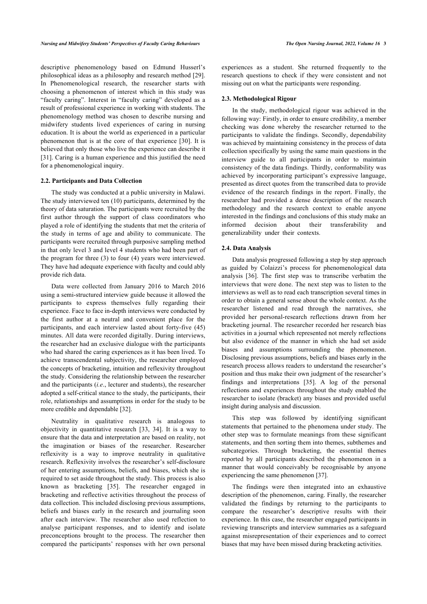descriptive phenomenology based on Edmund Husserl's philosophical ideas as a philosophy and research method [[29\]](#page-8-10). In Phenomenological research, the researcher starts with choosing a phenomenon of interest which in this study was "faculty caring". Interest in "faculty caring" developed as a result of professional experience in working with students. The phenomenology method was chosen to describe nursing and midwifery students lived experiences of caring in nursing education. It is about the world as experienced in a particular phenomenon that is at the core of that experience [[30](#page-8-11)]. It is believed that only those who live the experience can describe it [[31\]](#page-8-12). Caring is a human experience and this justified the need for a phenomenological inquiry.

#### **2.2. Participants and Data Collection**

The study was conducted at a public university in Malawi. The study interviewed ten (10) participants, determined by the theory of data saturation. The participants were recruited by the first author through the support of class coordinators who played a role of identifying the students that met the criteria of the study in terms of age and ability to communicate. The participants were recruited through purposive sampling method in that only level 3 and level 4 students who had been part of the program for three (3) to four (4) years were interviewed. They have had adequate experience with faculty and could ably provide rich data.

Data were collected from January 2016 to March 2016 using a semi-structured interview guide because it allowed the participants to express themselves fully regarding their experience. Face to face in-depth interviews were conducted by the first author at a neutral and convenient place for the participants, and each interview lasted about forty-five (45) minutes. All data were recorded digitally. During interviews, the researcher had an exclusive dialogue with the participants who had shared the caring experiences as it has been lived. To achieve transcendental subjectivity, the researcher employed the concepts of bracketing, intuition and reflexivity throughout the study. Considering the relationship between the researcher and the participants (*i.e*., lecturer and students), the researcher adopted a self-critical stance to the study, the participants, their role, relationships and assumptions in order for the study to be more credible and dependable [\[32](#page-8-13)].

Neutrality in qualitative research is analogous to objectivity in quantitative research [\[33,](#page-8-14) [34](#page-8-15)]. It is a way to ensure that the data and interpretation are based on reality, not the imagination or biases of the researcher. Researcher reflexivity is a way to improve neutrality in qualitative research. Reflexivity involves the researcher's self-disclosure of her entering assumptions, beliefs, and biases, which she is required to set aside throughout the study. This process is also known as bracketing[[35](#page-8-16)]. The researcher engaged in bracketing and reflective activities throughout the process of data collection. This included disclosing previous assumptions, beliefs and biases early in the research and journaling soon after each interview. The researcher also used reflection to analyse participant responses, and to identify and isolate preconceptions brought to the process. The researcher then compared the participants' responses with her own personal

experiences as a student. She returned frequently to the research questions to check if they were consistent and not missing out on what the participants were responding.

#### **2.3. Methodological Rigour**

In the study, methodological rigour was achieved in the following way: Firstly, in order to ensure credibility, a member checking was done whereby the researcher returned to the participants to validate the findings. Secondly, dependability was achieved by maintaining consistency in the process of data collection specifically by using the same main questions in the interview guide to all participants in order to maintain consistency of the data findings. Thirdly, conformability was achieved by incorporating participant's expressive language, presented as direct quotes from the transcribed data to provide evidence of the research findings in the report. Finally, the researcher had provided a dense description of the research methodology and the research context to enable anyone interested in the findings and conclusions of this study make an informed decision about their transferability and generalizability under their contexts.

#### **2.4. Data Analysis**

Data analysis progressed following a step by step approach as guided by Colaizzi's process for phenomenological data analysis[[36](#page-8-1)]. The first step was to transcribe verbatim the interviews that were done. The next step was to listen to the interviews as well as to read each transcription several times in order to obtain a general sense about the whole context. As the researcher listened and read through the narratives, she provided her personal-research reflections drawn from her bracketing journal. The researcher recorded her research bias activities in a journal which represented not merely reflections but also evidence of the manner in which she had set aside biases and assumptions surrounding the phenomenon. Disclosing previous assumptions, beliefs and biases early in the research process allows readers to understand the researcher's position and thus make their own judgment of the researcher's findings and interpretations [\[35\]](#page-8-16). A log of the personal reflections and experiences throughout the study enabled the researcher to isolate (bracket) any biases and provided useful insight during analysis and discussion.

This step was followed by identifying significant statements that pertained to the phenomena under study. The other step was to formulate meanings from these significant statements, and then sorting them into themes, subthemes and subcategories. Through bracketing, the essential themes reported by all participants described the phenomenon in a manner that would conceivably be recognisable by anyone experiencing the same phenomenon [\[37](#page-8-2)].

The findings were then integrated into an exhaustive description of the phenomenon, caring. Finally, the researcher validated the findings by returning to the participants to compare the researcher's descriptive results with their experience. In this case, the researcher engaged participants in reviewing transcripts and interview summaries as a safeguard against misrepresentation of their experiences and to correct biases that may have been missed during bracketing activities.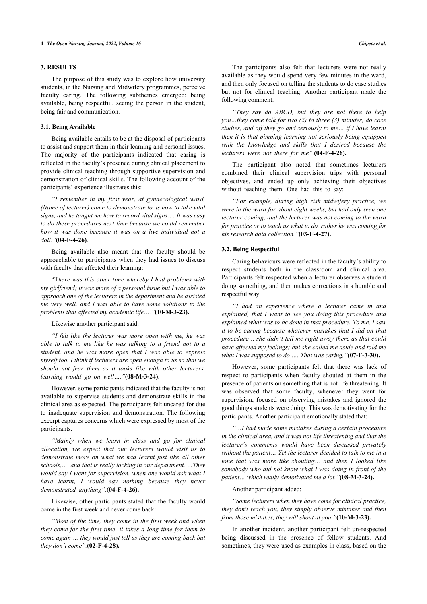### **3. RESULTS**

The purpose of this study was to explore how university students, in the Nursing and Midwifery programmes, perceive faculty caring. The following subthemes emerged: being available, being respectful, seeing the person in the student, being fair and communication.

#### **3.1. Being Available**

Being available entails to be at the disposal of participants to assist and support them in their learning and personal issues. The majority of the participants indicated that caring is reflected in the faculty's presence during clinical placement to provide clinical teaching through supportive supervision and demonstration of clinical skills. The following account of the participants' experience illustrates this:

*"I remember in my first year, at gynaecological ward, (Name of lecturer) came to demonstrate to us how to take vital signs, and he taught me how to record vital signs…. It was easy to do these procedures next time because we could remember how it was done because it was on a live individual not a doll."***(04-F-4-26)**.

Being available also meant that the faculty should be approachable to participants when they had issues to discuss with faculty that affected their learning:

"T*here was this other time whereby I had problems with my girlfriend; it was more of a personal issue but I was able to approach one of the lecturers in the department and he assisted me very well, and I was able to have some solutions to the problems that affected my academic life…."***(10-M-3-23).**

Likewise another participant said:

*"I felt like the lecturer was more open with me, he was able to talk to me like he was talking to a friend not to a student, and he was more open that I was able to express myself too. I think if lecturers are open enough to us so that we should not fear them as it looks like with other lecturers, learning would go on well…."***(08-M-3-24).**

However, some participants indicated that the faculty is not available to supervise students and demonstrate skills in the clinical area as expected. The participants felt uncared for due to inadequate supervision and demonstration. The following excerpt captures concerns which were expressed by most of the participants.

*"Mainly when we learn in class and go for clinical allocation, we expect that our lecturers would visit us to demonstrate more on what we had learnt just like all other schools,…. and that is really lacking in our department. …They would say I went for supervision, when one would ask what I have learnt, I would say nothing because they never demonstrated anything".***(04-F-4-26).**

Likewise, other participants stated that the faculty would come in the first week and never come back:

*"Most of the time, they come in the first week and when they come for the first time, it takes a long time for them to come again … they would just tell us they are coming back but they don't come".***(02-F-4-28).**

The participants also felt that lecturers were not really available as they would spend very few minutes in the ward, and then only focused on telling the students to do case studies but not for clinical teaching. Another participant made the following comment.

*"They say do ABCD, but they are not there to help you…they come talk for two (2) to three (3) minutes, do case studies, and off they go and seriously to me… if I have learnt then it is that pimping learning not seriously being equipped with the knowledge and skills that I desired because the lecturers were not there for me".***(04-F-4-26).**

The participant also noted that sometimes lecturers combined their clinical supervision trips with personal objectives, and ended up only achieving their objectives without teaching them. One had this to say:

*"For example, during high risk midwifery practice, we were in the ward for about eight weeks, but had only seen one lecturer coming, and the lecturer was not coming to the ward for practice or to teach us what to do, rather he was coming for his research data collection."***(03-F-4-27).**

#### **3.2. Being Respectful**

Caring behaviours were reflected in the faculty's ability to respect students both in the classroom and clinical area. Participants felt respected when a lecturer observes a student doing something, and then makes corrections in a humble and respectful way.

*"I had an experience where a lecturer came in and explained, that I want to see you doing this procedure and explained what was to be done in that procedure. To me, I saw it to be caring because whatever mistakes that I did on that procedure… she didn't tell me right away there as that could have affected my feelings; but she called me aside and told me what I was supposed to do …. That was caring,"***(07-F-3-30).**

However, some participants felt that there was lack of respect to participants when faculty shouted at them in the presence of patients on something that is not life threatening. It was observed that some faculty, whenever they went for supervision, focused on observing mistakes and ignored the good things students were doing. This was demotivating for the participants. Another participant emotionally stated that:

*"…I had made some mistakes during a certain procedure in the clinical area, and it was not life threatening and that the lecturer's comments would have been discussed privately without the patient… Yet the lecturer decided to talk to me in a tone that was more like shouting… and then I looked like somebody who did not know what I was doing in front of the patient… which really demotivated me a lot."***(08-M-3-24).**

#### Another participant added:

*"Some lecturers when they have come for clinical practice, they don't teach you, they simply observe mistakes and then from those mistakes, they will shout at you."***(10-M-3-23).**

In another incident, another participant felt un-respected being discussed in the presence of fellow students. And sometimes, they were used as examples in class, based on the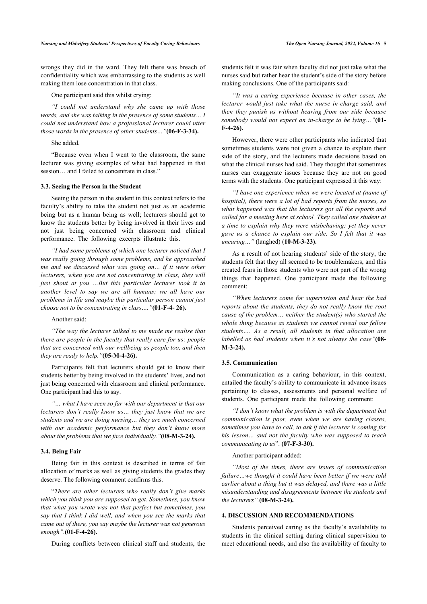wrongs they did in the ward. They felt there was breach of confidentiality which was embarrassing to the students as well making them lose concentration in that class.

#### One participant said this whilst crying:

*"I could not understand why she came up with those words, and she was talking in the presence of some students… I could not understand how a professional lecturer could utter those words in the presence of other students…"***(06-F-3-34).**

# She added,

"Because even when I went to the classroom, the same lecturer was giving examples of what had happened in that session… and I failed to concentrate in class."

#### **3.3. Seeing the Person in the Student**

Seeing the person in the student in this context refers to the faculty's ability to take the student not just as an academic being but as a human being as well; lecturers should get to know the students better by being involved in their lives and not just being concerned with classroom and clinical performance. The following excerpts illustrate this.

*"I had some problems of which one lecturer noticed that I was really going through some problems, and he approached me and we discussed what was going on… if it were other lecturers, when you are not concentrating in class, they will just shout at you …But this particular lecturer took it to another level to say we are all humans; we all have our problems in life and maybe this particular person cannot just choose not to be concentrating in class…."***(01-F-4- 26).**

#### Another said:

*"The way the lecturer talked to me made me realise that there are people in the faculty that really care for us; people that are concerned with our wellbeing as people too, and then they are ready to help."***(05-M-4-26).**

Participants felt that lecturers should get to know their students better by being involved in the students' lives, and not just being concerned with classroom and clinical performance. One participant had this to say.

*"… what I have seen so far with our department is that our lecturers don't really know us… they just know that we are students and we are doing nursing… they are much concerned with our academic performance but they don't know more about the problems that we face individually."***(08-M-3-24).**

#### **3.4. Being Fair**

Being fair in this context is described in terms of fair allocation of marks as well as giving students the grades they deserve. The following comment confirms this.

"*There are other lecturers who really don't give marks which you think you are supposed to get. Sometimes, you know that what you wrote was not that perfect but sometimes, you say that I think I did well, and when you see the marks that came out of there, you say maybe the lecturer was not generous enough".***(01-F-4-26).**

During conflicts between clinical staff and students, the

students felt it was fair when faculty did not just take what the nurses said but rather hear the student's side of the story before making conclusions. One of the participants said:

*"It was a caring experience because in other cases, the lecturer would just take what the nurse in-charge said, and then they punish us without hearing from our side because somebody would not expect an in-charge to be lying…"***(01- F-4-26).**

However, there were other participants who indicated that sometimes students were not given a chance to explain their side of the story, and the lecturers made decisions based on what the clinical nurses had said. They thought that sometimes nurses can exaggerate issues because they are not on good terms with the students. One participant expressed it this way:

*"I have one experience when we were located at (name of hospital), there were a lot of bad reports from the nurses, so what happened was that the lecturers got all the reports and called for a meeting here at school. They called one student at a time to explain why they were misbehaving; yet they never gave us a chance to explain our side. So I felt that it was uncaring…"* (laughed) (**10-M-3-23).**

As a result of not hearing students' side of the story, the students felt that they all seemed to be troublemakers, and this created fears in those students who were not part of the wrong things that happened. One participant made the following comment:

*"When lecturers come for supervision and hear the bad reports about the students, they do not really know the root cause of the problem… neither the student(s) who started the whole thing because as students we cannot reveal our fellow students…. As a result, all students in that allocation are labelled as bad students when it's not always the case"***(08- M-3-24).**

#### **3.5. Communication**

Communication as a caring behaviour, in this context, entailed the faculty's ability to communicate in advance issues pertaining to classes, assessments and personal welfare of students. One participant made the following comment:

*"I don't know what the problem is with the department but communication is poor, even when we are having classes, sometimes you have to call, to ask if the lecturer is coming for his lesson… and not the faculty who was supposed to teach communicating to us*". **(07-F-3-30).**

#### Another participant added:

*"Most of the times, there are issues of communication failure…we thought it could have been better if we were told earlier about a thing but it was delayed, and there was a little misunderstanding and disagreements between the students and the lecturers".***(08-M-3-24).**

#### **4. DISCUSSION AND RECOMMENDATIONS**

Students perceived caring as the faculty's availability to students in the clinical setting during clinical supervision to meet educational needs, and also the availability of faculty to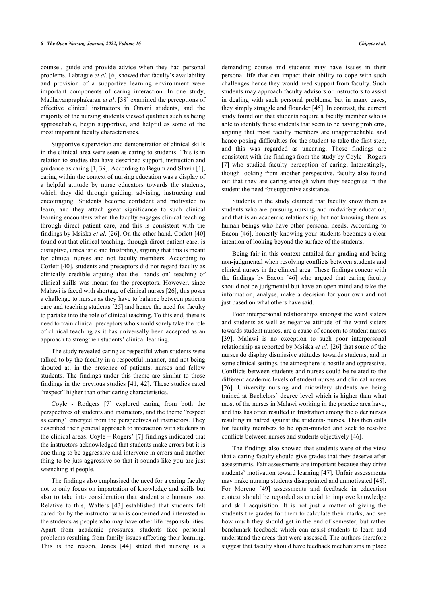counsel, guide and provide advice when they had personal problems. Labrague *et al*. [\[6\]](#page-7-5) showed that faculty's availability and provision of a supportive learning environment were important components of caring interaction. In one study, Madhavanpraphakaran *et al*. [\[38](#page-8-17)] examined the perceptions of effective clinical instructors in Omani students, and the majority of the nursing students viewed qualities such as being approachable, begin supportive, and helpful as some of the most important faculty characteristics.

Supportive supervision and demonstration of clinical skills in the clinical area were seen as caring to students. This is in relation to studies that have described support, instruction and guidance as caring [\[1,](#page-7-0) [39](#page-8-18)]. According to Begum and Slavin [[1](#page-7-0)], caring within the context of nursing education was a display of a helpful attitude by nurse educators towards the students, which they did through guiding, advising, instructing and encouraging. Students become confident and motivated to learn, and they attach great significance to such clinical learning encounters when the faculty engages clinical teaching through direct patient care, and this is consistent with the findings by Msiska *et al*. [\[26\]](#page-8-7). On the other hand, Corlett [\[40](#page-8-19)] found out that clinical teaching, through direct patient care, is disruptive, unrealistic and frustrating, arguing that this is meant for clinical nurses and not faculty members. According to Corlett [\[40](#page-8-19)], students and preceptors did not regard faculty as clinically credible arguing that the 'hands on' teaching of clinical skills was meant for the preceptors. However, since Malawi is faced with shortage of clinical nurses [\[26](#page-8-7)], this poses a challenge to nurses as they have to balance between patients care and teaching students [[25\]](#page-8-6) and hence the need for faculty to partake into the role of clinical teaching. To this end, there is need to train clinical preceptors who should sorely take the role of clinical teaching as it has universally been accepted as an approach to strengthen students' clinical learning.

The study revealed caring as respectful when students were talked to by the faculty in a respectful manner, and not being shouted at, in the presence of patients, nurses and fellow students. The findings under this theme are similar to those findings in the previous studies [[41,](#page-8-20) [42](#page-8-21)]. These studies rated "respect" higher than other caring characteristics.

Coyle - Rodgers [\[7\]](#page-7-6) explored caring from both the perspectives of students and instructors, and the theme "respect as caring" emerged from the perspectives of instructors. They described their general approach to interaction with students in the clinical areas. Coyle – Rogers' [\[7\]](#page-7-6) findings indicated that the instructors acknowledged that students make errors but it is one thing to be aggressive and intervene in errors and another thing to be juts aggressive so that it sounds like you are just wrenching at people.

The findings also emphasised the need for a caring faculty not to only focus on impartation of knowledge and skills but also to take into consideration that student are humans too. Relative to this, Walters [\[43\]](#page-8-22) established that students felt cared for by the instructor who is concerned and interested in the students as people who may have other life responsibilities. Apart from academic pressures, students face personal problems resulting from family issues affecting their learning. This is the reason, Jones[[44\]](#page-8-23) stated that nursing is a demanding course and students may have issues in their personal life that can impact their ability to cope with such challenges hence they would need support from faculty. Such students may approach faculty advisors or instructors to assist in dealing with such personal problems, but in many cases, they simply struggle and flounder [\[45\]](#page-8-24). In contrast, the current study found out that students require a faculty member who is able to identify those students that seem to be having problems, arguing that most faculty members are unapproachable and hence posing difficulties for the student to take the first step, and this was regarded as uncaring. These findings are consistent with the findings from the study by Coyle - Rogers [[7\]](#page-7-6) who studied faculty perception of caring. Interestingly, though looking from another perspective, faculty also found out that they are caring enough when they recognise in the student the need for supportive assistance.

Students in the study claimed that faculty know them as students who are pursuing nursing and midwifery education, and that is an academic relationship, but not knowing them as human beings who have other personal needs. According to Bacon [[46\]](#page-8-25), honestly knowing your students becomes a clear intention of looking beyond the surface of the students.

Being fair in this context entailed fair grading and being non-judgmental when resolving conflicts between students and clinical nurses in the clinical area. These findings concur with the findings by Bacon[[46\]](#page-8-25) who argued that caring faculty should not be judgmental but have an open mind and take the information, analyse, make a decision for your own and not just based on what others have said.

Poor interpersonal relationships amongst the ward sisters and students as well as negative attitude of the ward sisters towards student nurses, are a cause of concern to student nurses [[39](#page-8-18)]. Malawi is no exception to such poor interpersonal relationship as reported by Msiska *et al*. [[26](#page-8-7)] that **s**ome of the nurses do display dismissive attitudes towards students, and in some clinical settings, the atmosphere is hostile and oppressive. Conflicts between students and nurses could be related to the different academic levels of student nurses and clinical nurses [[26](#page-8-7)]. University nursing and midwifery students are being trained at Bachelors' degree level which is higher than what most of the nurses in Malawi working in the practice area have, and this has often resulted in frustration among the older nurses resulting in hatred against the students- nurses. This then calls for faculty members to be open-minded and seek to resolve conflicts between nurses and students objectively [[46\]](#page-8-25).

The findings also showed that students were of the view that a caring faculty should give grades that they deserve after assessments. Fair assessments are important because they drive students' motivation toward learning [[47\]](#page-8-26). Unfair assessments may make nursing students disappointed and unmotivated [\[48](#page-8-27)]. For Moreno[[49](#page-8-28)] assessments and feedback in education context should be regarded as crucial to improve knowledge and skill acquisition. It is not just a matter of giving the students the grades for them to calculate their marks, and see how much they should get in the end of semester, but rather benchmark feedback which can assist students to learn and understand the areas that were assessed. The authors therefore suggest that faculty should have feedback mechanisms in place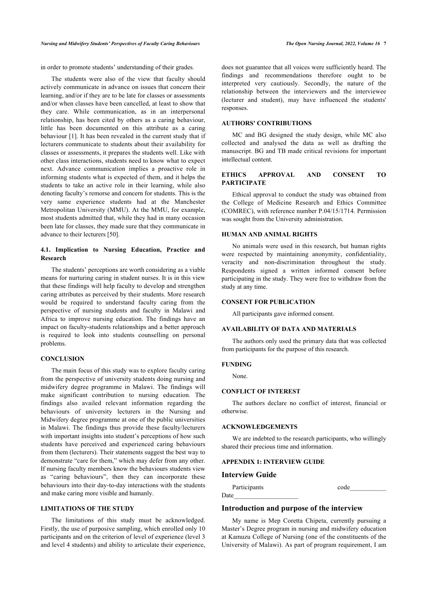in order to promote students' understanding of their grades.

The students were also of the view that faculty should actively communicate in advance on issues that concern their learning, and/or if they are to be late for classes or assessments and/or when classes have been cancelled, at least to show that they care. While communication, as in an interpersonal relationship, has been cited by others as a caring behaviour, little has been documented on this attribute as a caring behaviour [\[1\]](#page-7-0). It has been revealed in the current study that if lecturers communicate to students about their availability for classes or assessments, it prepares the students well. Like with other class interactions, students need to know what to expect next. Advance communication implies a proactive role in informing students what is expected of them, and it helps the students to take an active role in their learning, while also denoting faculty's remorse and concern for students. This is the very same experience students had at the Manchester Metropolitan University (MMU). At the MMU, for example, most students admitted that, while they had in many occasion been late for classes, they made sure that they communicate in advance to their lecturers [[50\]](#page-8-29).

# **4.1. Implication to Nursing Education, Practice and Research**

The students' perceptions are worth considering as a viable means for nurturing caring in student nurses. It is in this view that these findings will help faculty to develop and strengthen caring attributes as perceived by their students. More research would be required to understand faculty caring from the perspective of nursing students and faculty in Malawi and Africa to improve nursing education. The findings have an impact on faculty-students relationships and a better approach is required to look into students counselling on personal problems.

# **CONCLUSION**

The main focus of this study was to explore faculty caring from the perspective of university students doing nursing and midwifery degree programme in Malawi. The findings will make significant contribution to nursing education. The findings also availed relevant information regarding the behaviours of university lecturers in the Nursing and Midwifery degree programme at one of the public universities in Malawi. The findings thus provide these faculty/lecturers with important insights into student's perceptions of how such students have perceived and experienced caring behaviours from them (lecturers). Their statements suggest the best way to demonstrate "care for them," which may defer from any other. If nursing faculty members know the behaviours students view as "caring behaviours", then they can incorporate these behaviours into their day-to-day interactions with the students and make caring more visible and humanly.

#### **LIMITATIONS OF THE STUDY**

The limitations of this study must be acknowledged. Firstly, the use of purposive sampling, which enrolled only 10 participants and on the criterion of level of experience (level 3 and level 4 students) and ability to articulate their experience, does not guarantee that all voices were sufficiently heard. The findings and recommendations therefore ought to be interpreted very cautiously. Secondly, the nature of the relationship between the interviewers and the interviewee (lecturer and student), may have influenced the students' **responses**.

#### **AUTHORS' CONTRIBUTIONS**

MC and BG designed the study design, while MC also collected and analysed the data as well as drafting the manuscript. BG and TB made critical revisions for important intellectual content.

#### **ETHICS APPROVAL AND CONSENT TO PARTICIPATE**

Ethical approval to conduct the study was obtained from the College of Medicine Research and Ethics Committee (COMREC), with reference number P.04/15/1714. Permission was sought from the University administration.

#### **HUMAN AND ANIMAL RIGHTS**

No animals were used in this research, but human rights were respected by maintaining anonymity, confidentiality, veracity and non-discrimination throughout the study. Respondents signed a written informed consent before participating in the study. They were free to withdraw from the study at any time.

#### **CONSENT FOR PUBLICATION**

All participants gave informed consent.

#### **AVAILABILITY OF DATA AND MATERIALS**

The authors only used the primary data that was collected from participants for the purpose of this research.

#### **FUNDING**

None.

# **CONFLICT OF INTEREST**

The authors declare no conflict of interest, financial or otherwise.

#### **ACKNOWLEDGEMENTS**

We are indebted to the research participants, who willingly shared their precious time and information.

# **APPENDIX 1: INTERVIEW GUIDE**

#### **Interview Guide**

| Participants | code |
|--------------|------|
| Date         |      |

# **Introduction and purpose of the interview**

My name is Mep Coretta Chipeta, currently pursuing a Master's Degree program in nursing and midwifery education at Kamuzu College of Nursing (one of the constituents of the University of Malawi). As part of program requirement, I am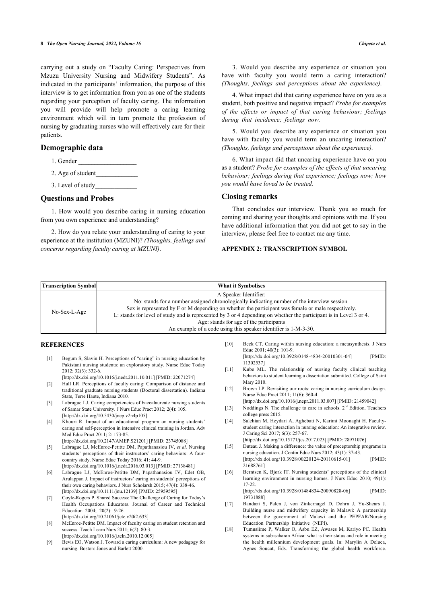carrying out a study on "Faculty Caring: Perspectives from Mzuzu University Nursing and Midwifery Students". As indicated in the participants' information, the purpose of this interview is to get information from you as one of the students regarding your perception of faculty caring. The information you will provide will help promote a caring learning environment which will in turn promote the profession of nursing by graduating nurses who will effectively care for their patients.

# **Demographic data**

- 1. Gender
- 2. Age of student\_\_\_\_\_\_\_\_\_\_\_\_\_
- 3. Level of study

# **Questions and Probes**

1. How would you describe caring in nursing education from you own experience and understanding?

2. How do you relate your understanding of caring to your experience at the institution (MZUNI)? *(Thoughts, feelings and concerns regarding faculty caring at MZUNI)*.

3. Would you describe any experience or situation you have with faculty you would term a caring interaction? *(Thoughts, feelings and perceptions about the experience)*.

4. What impact did that caring experience have on you as a student, both positive and negative impact? *Probe for examples of the effects or impact of that caring behaviour; feelings during that incidence; feelings now.*

5. Would you describe any experience or situation you have with faculty you would term an uncaring interaction? *(Thoughts, feelings and perceptions about the experience).*

6. What impact did that uncaring experience have on you as a student? *Probe for examples of the effects of that uncaring behaviour; feelings during that experience; feelings now; how you would have loved to be treated.*

# **Closing remarks**

That concludes our interview. Thank you so much for coming and sharing your thoughts and opinions with me. If you have additional information that you did not get to say in the interview, please feel free to contact me any time.

#### **APPENDIX 2: TRANSCRIPTION SYMBOL**

<span id="page-7-10"></span><span id="page-7-9"></span><span id="page-7-0"></span>

| <b>Transcription Symbol</b> |                                   | <b>What it Symbolises</b>                                                                                                                                                                                                                                                                                                                                                                                                                                       |        |                                                                                                                                                                                                                                             |
|-----------------------------|-----------------------------------|-----------------------------------------------------------------------------------------------------------------------------------------------------------------------------------------------------------------------------------------------------------------------------------------------------------------------------------------------------------------------------------------------------------------------------------------------------------------|--------|---------------------------------------------------------------------------------------------------------------------------------------------------------------------------------------------------------------------------------------------|
| No-Sex-L-Age                |                                   | A Speaker Identifier:<br>No: stands for a number assigned chronologically indicating number of the interview session.<br>Sex is represented by F or M depending on whether the participant was female or male respectively.<br>L: stands for level of study and is represented by 3 or 4 depending on whether the participant is in Level 3 or 4.<br>Age: stands for age of the participants<br>An example of a code using this speaker identifier is 1-M-3-30. |        |                                                                                                                                                                                                                                             |
|                             | <b>REFERENCES</b>                 |                                                                                                                                                                                                                                                                                                                                                                                                                                                                 | [10]   | Beck CT. Caring within nursing education: a metasynthesis. J Nurs<br>Educ 2001; 40(3): 101-9.                                                                                                                                               |
| $[1]$<br>$[2]$              | 2012; 32(3): 332-6.               | Begum S, Slavin H. Perceptions of "caring" in nursing education by<br>Pakistani nursing students: an exploratory study. Nurse Educ Today<br>[http://dx.doi.org/10.1016/j.nedt.2011.10.011] [PMID: 22071274]<br>Hall LR. Perceptions of faculty caring: Comparison of distance and                                                                                                                                                                               | [11]   | [http://dx.doi.org/10.3928/0148-4834-20010301-04]<br>[PMID:<br>113025371<br>Kube ML. The relationship of nursing faculty clinical teaching<br>behaviors to student learning a dissertation submitted. College of Saint<br>Mary 2010.        |
|                             | State, Terre Haute, Indiana 2010. | traditional graduate nursing students (Doctoral dissertation). Indiana                                                                                                                                                                                                                                                                                                                                                                                          | $[12]$ | Brown LP. Revisiting our roots: caring in nursing curriculum design.<br>Nurse Educ Pract 2011; 11(6): 360-4.<br>[http://dx.doi.org/10.1016/j.nepr.2011.03.007] [PMID: 21459042]                                                             |
| $\lceil 3 \rceil$           |                                   | Labrague LJ. Caring competencies of baccalaureate nursing students<br>of Samar State University. J Nurs Educ Pract 2012; 2(4): 105.<br>[http://dx.doi.org/10.5430/jnep.v2n4p105]                                                                                                                                                                                                                                                                                | $[13]$ | Noddings N. The challenge to care in schools. $2nd$ Edition. Teachers<br>college press 2015.                                                                                                                                                |
| [4]                         | Med Educ Pract 2011; 2: 173-85.   | Khouri R. Impact of an educational program on nursing students'<br>caring and self-perception in intensive clinical training in Jordan. Adv<br>[http://dx.doi.org/10.2147/AMEP.S21201] [PMID: 23745088]                                                                                                                                                                                                                                                         | $[14]$ | Salehian M, Heydari A, Aghebati N, Karimi Moonaghi H. Faculty-<br>student caring interaction in nursing education: An integrative review.<br>J Caring Sci 2017; 6(3): 257-67.<br>[http://dx.doi.org/10.15171/jcs.2017.025] [PMID: 28971076] |
| $\lceil 5 \rceil$           |                                   | Labrague LJ, McEnroe-Petitte DM, Papathanasiou IV, et al. Nursing<br>students' perceptions of their instructors' caring behaviors: A four-<br>country study. Nurse Educ Today 2016: 41: 44-9.                                                                                                                                                                                                                                                                   | $[15]$ | Duteau J. Making a difference: the value of preceptorship programs in<br>nursing education. J Contin Educ Nurs 2012; 43(1): 37-43.<br>[http://dx.doi.org/10.3928/00220124-20110615-01]<br>[PMID:                                            |

<span id="page-7-15"></span><span id="page-7-14"></span><span id="page-7-13"></span><span id="page-7-12"></span><span id="page-7-11"></span><span id="page-7-5"></span><span id="page-7-4"></span><span id="page-7-3"></span><span id="page-7-2"></span><span id="page-7-1"></span>[\[http://dx.doi.org/10.1016/j.nedt.2016.03.013\]](http://dx.doi.org/10.1016/j.nedt.2016.03.013) [PMID: [27138481](http://www.ncbi.nlm.nih.gov/pubmed/27138481)] [6] Labrague LJ, McEnroe-Petitte DM, Papathanasiou IV, Edet OB, Arulappan J. Impact of instructors' caring on students' perceptions of their own caring behaviors. J Nurs Scholarsh 2015; 47(4): 338-46. [\[http://dx.doi.org/10.1111/jnu.12139](http://dx.doi.org/10.1111/jnu.12139)] [PMID: [25959595\]](http://www.ncbi.nlm.nih.gov/pubmed/25959595)

<span id="page-7-16"></span><span id="page-7-6"></span>[7] Coyle-Rogers P. Shared Success: The Challenge of Caring for Today's Health Occupations Educators. Journal of Career and Technical Education 2004; 20(2): 9-26. [\[http://dx.doi.org/10.21061/jcte.v20i2.633\]](http://dx.doi.org/10.21061/jcte.v20i2.633)

<span id="page-7-17"></span><span id="page-7-7"></span>[8] McEnroe-Petitte DM. Impact of faculty caring on student retention and success. Teach Learn Nurs 2011; 6(2): 80-3. [\[http://dx.doi.org/10.1016/j.teln.2010.12.005](http://dx.doi.org/10.1016/j.teln.2010.12.005)]

<span id="page-7-8"></span>[9] Bevis EO, Watson J. Toward a caring curriculum: A new pedagogy for nursing. Boston: Jones and Barlett 2000.

[21688761\]](http://www.ncbi.nlm.nih.gov/pubmed/21688761) [16] Berntsen K, Bjørk IT. Nursing students' perceptions of the clinical

learning environment in nursing homes. J Nurs Educ 2010; 49(1): 17-22.

[\[http://dx.doi.org/10.3928/01484834-20090828-06\]](http://dx.doi.org/10.3928/01484834-20090828-06) [PMID: [19731888\]](http://www.ncbi.nlm.nih.gov/pubmed/19731888)

- [17] Bandazi S, Palen J, von Zinkernagel D, Dohrn J, Yu-Shears J. Building nurse and midwifery capacity in Malawi: A partnership between the government of Malawi and the PEPFAR/Nursing Education Partnership Initiative (NEPI).
- [18] Tumusiime P, Walker O, Asbu EZ, Awases M, Kariyo PC. Health systems in sub-saharan Africa: what is their status and role in meeting the health millennium development goals. In: Marylin A Deluca, Agnes Soucat, Eds. Transforming the global health workforce.